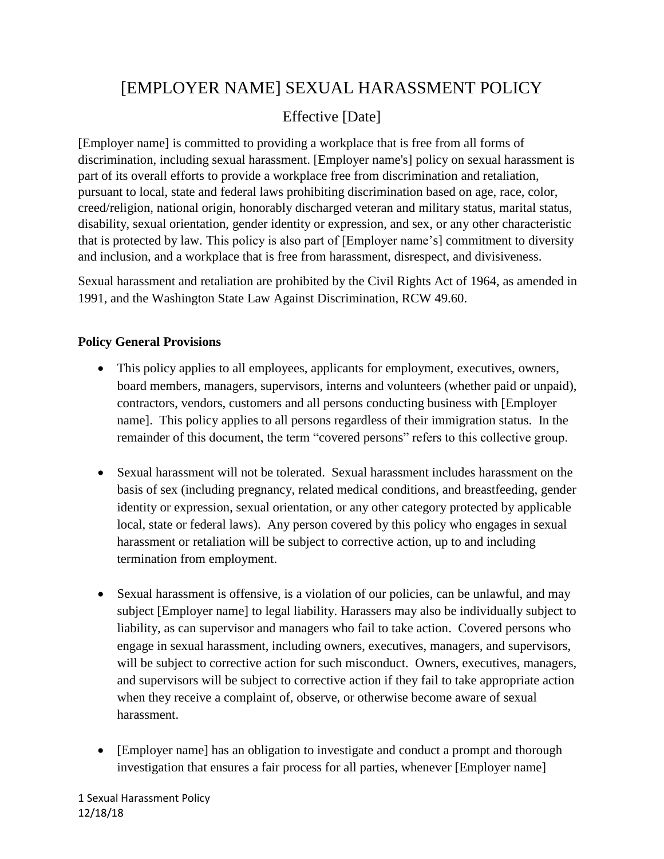# [EMPLOYER NAME] SEXUAL HARASSMENT POLICY

# Effective [Date]

[Employer name] is committed to providing a workplace that is free from all forms of discrimination, including sexual harassment. [Employer name's] policy on sexual harassment is part of its overall efforts to provide a workplace free from discrimination and retaliation, pursuant to local, state and federal laws prohibiting discrimination based on age, race, color, creed/religion, national origin, honorably discharged veteran and military status, marital status, disability, sexual orientation, gender identity or expression, and sex, or any other characteristic that is protected by law. This policy is also part of [Employer name's] commitment to diversity and inclusion, and a workplace that is free from harassment, disrespect, and divisiveness.

Sexual harassment and retaliation are prohibited by the Civil Rights Act of 1964, as amended in 1991, and the Washington State Law Against Discrimination, RCW 49.60.

# **Policy General Provisions**

- This policy applies to all employees, applicants for employment, executives, owners, board members, managers, supervisors, interns and volunteers (whether paid or unpaid), contractors, vendors, customers and all persons conducting business with [Employer name]. This policy applies to all persons regardless of their immigration status. In the remainder of this document, the term "covered persons" refers to this collective group.
- Sexual harassment will not be tolerated. Sexual harassment includes harassment on the basis of sex (including pregnancy, related medical conditions, and breastfeeding, gender identity or expression, sexual orientation, or any other category protected by applicable local, state or federal laws). Any person covered by this policy who engages in sexual harassment or retaliation will be subject to corrective action, up to and including termination from employment.
- Sexual harassment is offensive, is a violation of our policies, can be unlawful, and may subject [Employer name] to legal liability. Harassers may also be individually subject to liability, as can supervisor and managers who fail to take action. Covered persons who engage in sexual harassment, including owners, executives, managers, and supervisors, will be subject to corrective action for such misconduct. Owners, executives, managers, and supervisors will be subject to corrective action if they fail to take appropriate action when they receive a complaint of, observe, or otherwise become aware of sexual harassment.
- [Employer name] has an obligation to investigate and conduct a prompt and thorough investigation that ensures a fair process for all parties, whenever [Employer name]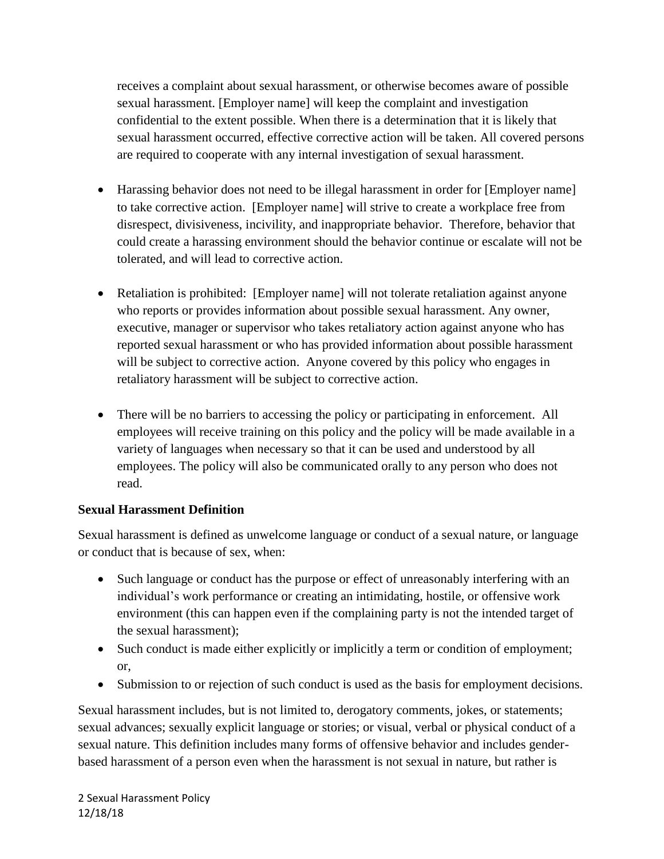receives a complaint about sexual harassment, or otherwise becomes aware of possible sexual harassment. [Employer name] will keep the complaint and investigation confidential to the extent possible. When there is a determination that it is likely that sexual harassment occurred, effective corrective action will be taken. All covered persons are required to cooperate with any internal investigation of sexual harassment.

- Harassing behavior does not need to be illegal harassment in order for [Employer name] to take corrective action. [Employer name] will strive to create a workplace free from disrespect, divisiveness, incivility, and inappropriate behavior. Therefore, behavior that could create a harassing environment should the behavior continue or escalate will not be tolerated, and will lead to corrective action.
- Retaliation is prohibited: [Employer name] will not tolerate retaliation against anyone who reports or provides information about possible sexual harassment. Any owner, executive, manager or supervisor who takes retaliatory action against anyone who has reported sexual harassment or who has provided information about possible harassment will be subject to corrective action. Anyone covered by this policy who engages in retaliatory harassment will be subject to corrective action.
- There will be no barriers to accessing the policy or participating in enforcement. All employees will receive training on this policy and the policy will be made available in a variety of languages when necessary so that it can be used and understood by all employees. The policy will also be communicated orally to any person who does not read.

# **Sexual Harassment Definition**

Sexual harassment is defined as unwelcome language or conduct of a sexual nature, or language or conduct that is because of sex, when:

- Such language or conduct has the purpose or effect of unreasonably interfering with an individual's work performance or creating an intimidating, hostile, or offensive work environment (this can happen even if the complaining party is not the intended target of the sexual harassment);
- Such conduct is made either explicitly or implicitly a term or condition of employment; or,
- Submission to or rejection of such conduct is used as the basis for employment decisions.

Sexual harassment includes, but is not limited to, derogatory comments, jokes, or statements; sexual advances; sexually explicit language or stories; or visual, verbal or physical conduct of a sexual nature. This definition includes many forms of offensive behavior and includes genderbased harassment of a person even when the harassment is not sexual in nature, but rather is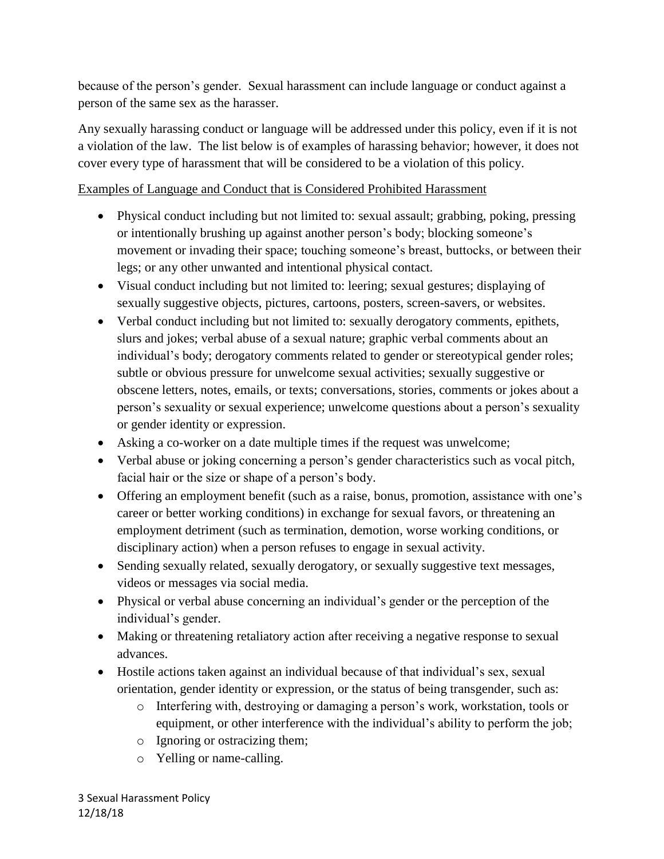because of the person's gender. Sexual harassment can include language or conduct against a person of the same sex as the harasser.

Any sexually harassing conduct or language will be addressed under this policy, even if it is not a violation of the law. The list below is of examples of harassing behavior; however, it does not cover every type of harassment that will be considered to be a violation of this policy.

#### Examples of Language and Conduct that is Considered Prohibited Harassment

- Physical conduct including but not limited to: sexual assault; grabbing, poking, pressing or intentionally brushing up against another person's body; blocking someone's movement or invading their space; touching someone's breast, buttocks, or between their legs; or any other unwanted and intentional physical contact.
- Visual conduct including but not limited to: leering; sexual gestures; displaying of sexually suggestive objects, pictures, cartoons, posters, screen-savers, or websites.
- Verbal conduct including but not limited to: sexually derogatory comments, epithets, slurs and jokes; verbal abuse of a sexual nature; graphic verbal comments about an individual's body; derogatory comments related to gender or stereotypical gender roles; subtle or obvious pressure for unwelcome sexual activities; sexually suggestive or obscene letters, notes, emails, or texts; conversations, stories, comments or jokes about a person's sexuality or sexual experience; unwelcome questions about a person's sexuality or gender identity or expression.
- Asking a co-worker on a date multiple times if the request was unwelcome;
- Verbal abuse or joking concerning a person's gender characteristics such as vocal pitch, facial hair or the size or shape of a person's body.
- Offering an employment benefit (such as a raise, bonus, promotion, assistance with one's career or better working conditions) in exchange for sexual favors, or threatening an employment detriment (such as termination, demotion, worse working conditions, or disciplinary action) when a person refuses to engage in sexual activity.
- Sending sexually related, sexually derogatory, or sexually suggestive text messages, videos or messages via social media.
- Physical or verbal abuse concerning an individual's gender or the perception of the individual's gender.
- Making or threatening retaliatory action after receiving a negative response to sexual advances.
- Hostile actions taken against an individual because of that individual's sex, sexual orientation, gender identity or expression, or the status of being transgender, such as:
	- o Interfering with, destroying or damaging a person's work, workstation, tools or equipment, or other interference with the individual's ability to perform the job;
	- o Ignoring or ostracizing them;
	- o Yelling or name-calling.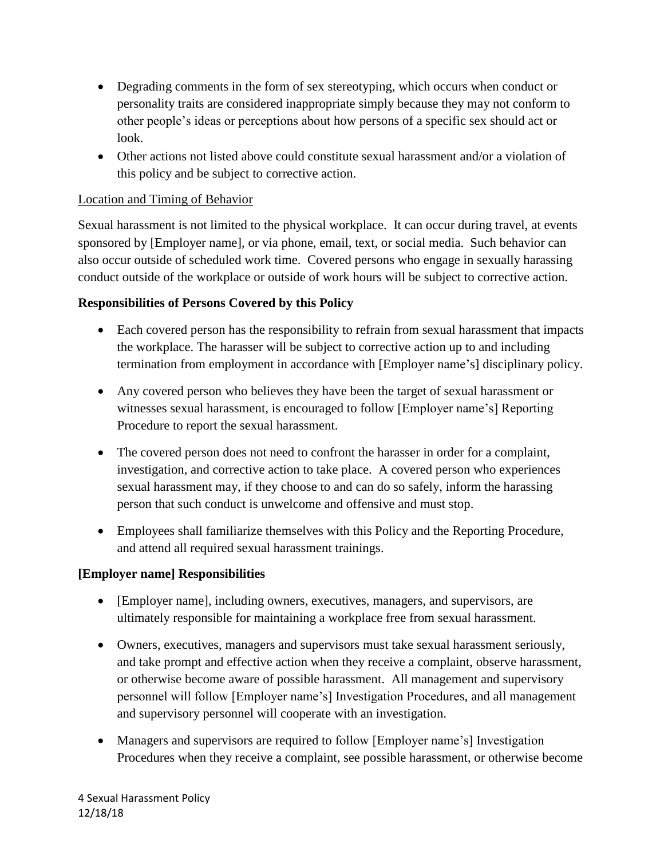- Degrading comments in the form of sex stereotyping, which occurs when conduct or personality traits are considered inappropriate simply because they may not conform to other people's ideas or perceptions about how persons of a specific sex should act or look.
- Other actions not listed above could constitute sexual harassment and/or a violation of this policy and be subject to corrective action.

# Location and Timing of Behavior

Sexual harassment is not limited to the physical workplace. It can occur during travel, at events sponsored by [Employer name], or via phone, email, text, or social media. Such behavior can also occur outside of scheduled work time. Covered persons who engage in sexually harassing conduct outside of the workplace or outside of work hours will be subject to corrective action.

#### **Responsibilities of Persons Covered by this Policy**

- Each covered person has the responsibility to refrain from sexual harassment that impacts the workplace. The harasser will be subject to corrective action up to and including termination from employment in accordance with [Employer name's] disciplinary policy.
- Any covered person who believes they have been the target of sexual harassment or witnesses sexual harassment, is encouraged to follow [Employer name's] Reporting Procedure to report the sexual harassment.
- The covered person does not need to confront the harasser in order for a complaint, investigation, and corrective action to take place. A covered person who experiences sexual harassment may, if they choose to and can do so safely, inform the harassing person that such conduct is unwelcome and offensive and must stop.
- Employees shall familiarize themselves with this Policy and the Reporting Procedure, and attend all required sexual harassment trainings.

#### **[Employer name] Responsibilities**

- [Employer name], including owners, executives, managers, and supervisors, are ultimately responsible for maintaining a workplace free from sexual harassment.
- Owners, executives, managers and supervisors must take sexual harassment seriously, and take prompt and effective action when they receive a complaint, observe harassment, or otherwise become aware of possible harassment. All management and supervisory personnel will follow [Employer name's] Investigation Procedures, and all management and supervisory personnel will cooperate with an investigation.
- Managers and supervisors are required to follow [Employer name's] Investigation Procedures when they receive a complaint, see possible harassment, or otherwise become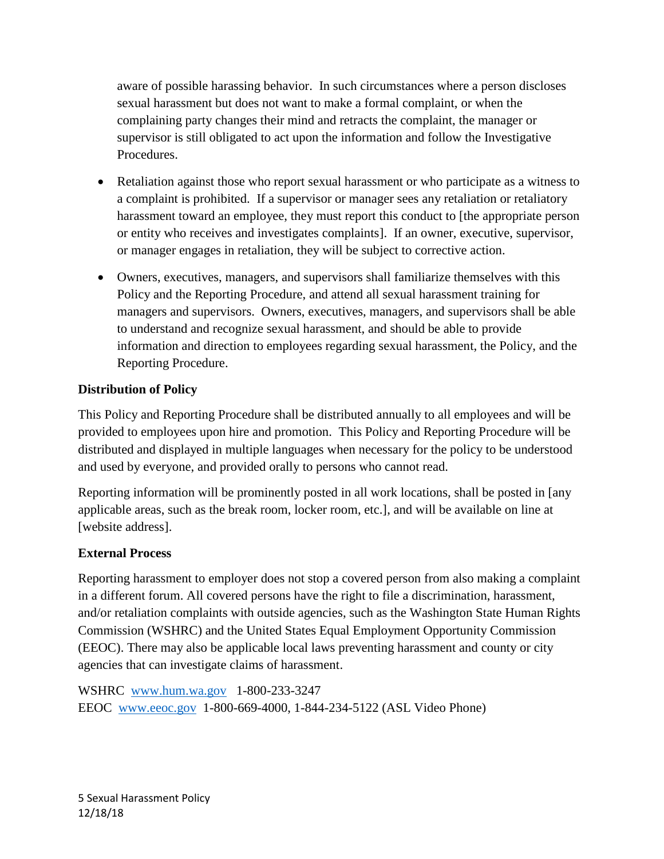aware of possible harassing behavior. In such circumstances where a person discloses sexual harassment but does not want to make a formal complaint, or when the complaining party changes their mind and retracts the complaint, the manager or supervisor is still obligated to act upon the information and follow the Investigative Procedures.

- Retaliation against those who report sexual harassment or who participate as a witness to a complaint is prohibited. If a supervisor or manager sees any retaliation or retaliatory harassment toward an employee, they must report this conduct to [the appropriate person or entity who receives and investigates complaints]. If an owner, executive, supervisor, or manager engages in retaliation, they will be subject to corrective action.
- Owners, executives, managers, and supervisors shall familiarize themselves with this Policy and the Reporting Procedure, and attend all sexual harassment training for managers and supervisors. Owners, executives, managers, and supervisors shall be able to understand and recognize sexual harassment, and should be able to provide information and direction to employees regarding sexual harassment, the Policy, and the Reporting Procedure.

# **Distribution of Policy**

This Policy and Reporting Procedure shall be distributed annually to all employees and will be provided to employees upon hire and promotion. This Policy and Reporting Procedure will be distributed and displayed in multiple languages when necessary for the policy to be understood and used by everyone, and provided orally to persons who cannot read.

Reporting information will be prominently posted in all work locations, shall be posted in [any applicable areas, such as the break room, locker room, etc.], and will be available on line at [website address].

# **External Process**

Reporting harassment to employer does not stop a covered person from also making a complaint in a different forum. All covered persons have the right to file a discrimination, harassment, and/or retaliation complaints with outside agencies, such as the Washington State Human Rights Commission (WSHRC) and the United States Equal Employment Opportunity Commission (EEOC). There may also be applicable local laws preventing harassment and county or city agencies that can investigate claims of harassment.

WSHRC [www.hum.wa.gov](http://www.hum.wa.gov/) 1-800-233-3247 EEOC [www.eeoc.gov](http://www.eeoc.gov/) 1-800-669-4000, 1-844-234-5122 (ASL Video Phone)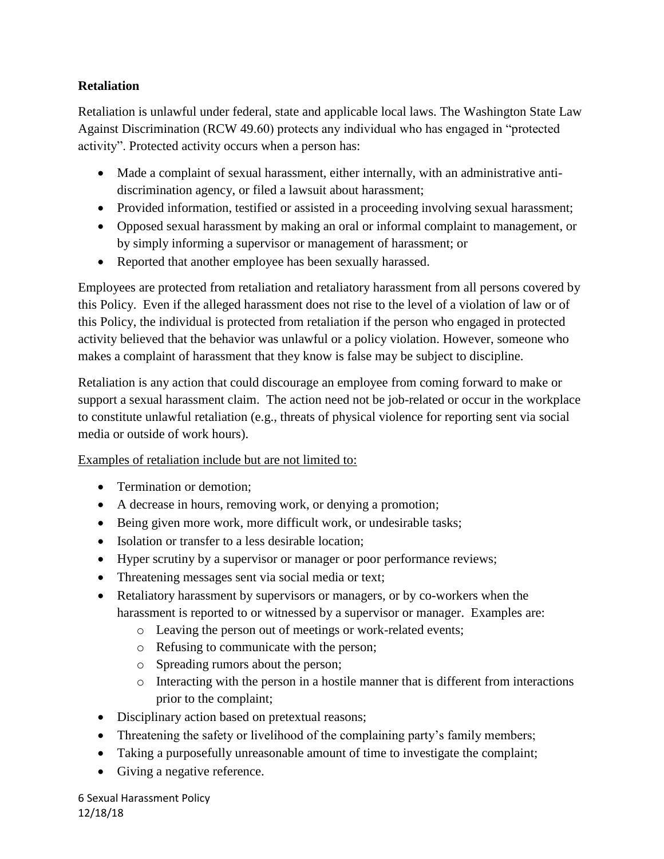### **Retaliation**

Retaliation is unlawful under federal, state and applicable local laws. The Washington State Law Against Discrimination (RCW 49.60) protects any individual who has engaged in "protected activity". Protected activity occurs when a person has:

- Made a complaint of sexual harassment, either internally, with an administrative antidiscrimination agency, or filed a lawsuit about harassment;
- Provided information, testified or assisted in a proceeding involving sexual harassment;
- Opposed sexual harassment by making an oral or informal complaint to management, or by simply informing a supervisor or management of harassment; or
- Reported that another employee has been sexually harassed.

Employees are protected from retaliation and retaliatory harassment from all persons covered by this Policy. Even if the alleged harassment does not rise to the level of a violation of law or of this Policy, the individual is protected from retaliation if the person who engaged in protected activity believed that the behavior was unlawful or a policy violation. However, someone who makes a complaint of harassment that they know is false may be subject to discipline.

Retaliation is any action that could discourage an employee from coming forward to make or support a sexual harassment claim. The action need not be job-related or occur in the workplace to constitute unlawful retaliation (e.g., threats of physical violence for reporting sent via social media or outside of work hours).

# Examples of retaliation include but are not limited to:

- Termination or demotion:
- A decrease in hours, removing work, or denying a promotion;
- Being given more work, more difficult work, or undesirable tasks;
- Isolation or transfer to a less desirable location;
- Hyper scrutiny by a supervisor or manager or poor performance reviews;
- Threatening messages sent via social media or text;
- Retaliatory harassment by supervisors or managers, or by co-workers when the harassment is reported to or witnessed by a supervisor or manager. Examples are:
	- o Leaving the person out of meetings or work-related events;
	- o Refusing to communicate with the person;
	- o Spreading rumors about the person;
	- o Interacting with the person in a hostile manner that is different from interactions prior to the complaint;
- Disciplinary action based on pretextual reasons;
- Threatening the safety or livelihood of the complaining party's family members;
- Taking a purposefully unreasonable amount of time to investigate the complaint;
- Giving a negative reference.